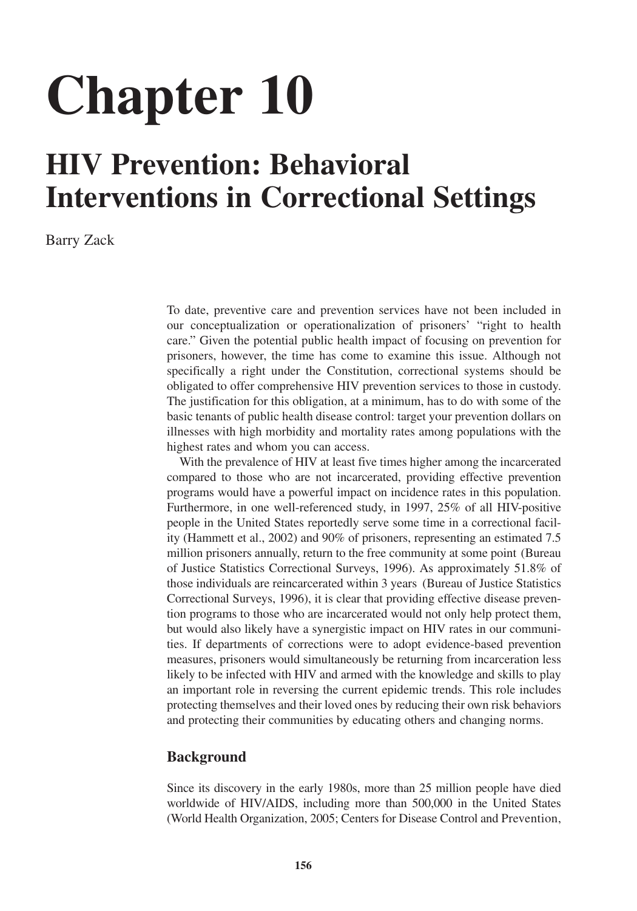# **Chapter 10**

# **HIV Prevention: Behavioral Interventions in Correctional Settings**

Barry Zack

To date, preventive care and prevention services have not been included in our conceptualization or operationalization of prisoners' "right to health care." Given the potential public health impact of focusing on prevention for prisoners, however, the time has come to examine this issue. Although not specifically a right under the Constitution, correctional systems should be obligated to offer comprehensive HIV prevention services to those in custody. The justification for this obligation, at a minimum, has to do with some of the basic tenants of public health disease control: target your prevention dollars on illnesses with high morbidity and mortality rates among populations with the highest rates and whom you can access.

With the prevalence of HIV at least five times higher among the incarcerated compared to those who are not incarcerated, providing effective prevention programs would have a powerful impact on incidence rates in this population. Furthermore, in one well-referenced study, in 1997, 25% of all HIV-positive people in the United States reportedly serve some time in a correctional facility (Hammett et al., 2002) and 90% of prisoners, representing an estimated 7.5 million prisoners annually, return to the free community at some point (Bureau of Justice Statistics Correctional Surveys, 1996). As approximately 51.8% of those individuals are reincarcerated within 3 years (Bureau of Justice Statistics Correctional Surveys, 1996), it is clear that providing effective disease prevention programs to those who are incarcerated would not only help protect them, but would also likely have a synergistic impact on HIV rates in our communities. If departments of corrections were to adopt evidence-based prevention measures, prisoners would simultaneously be returning from incarceration less likely to be infected with HIV and armed with the knowledge and skills to play an important role in reversing the current epidemic trends. This role includes protecting themselves and their loved ones by reducing their own risk behaviors and protecting their communities by educating others and changing norms.

# **Background**

Since its discovery in the early 1980s, more than 25 million people have died worldwide of HIV/AIDS, including more than 500,000 in the United States (World Health Organization, 2005; Centers for Disease Control and Prevention,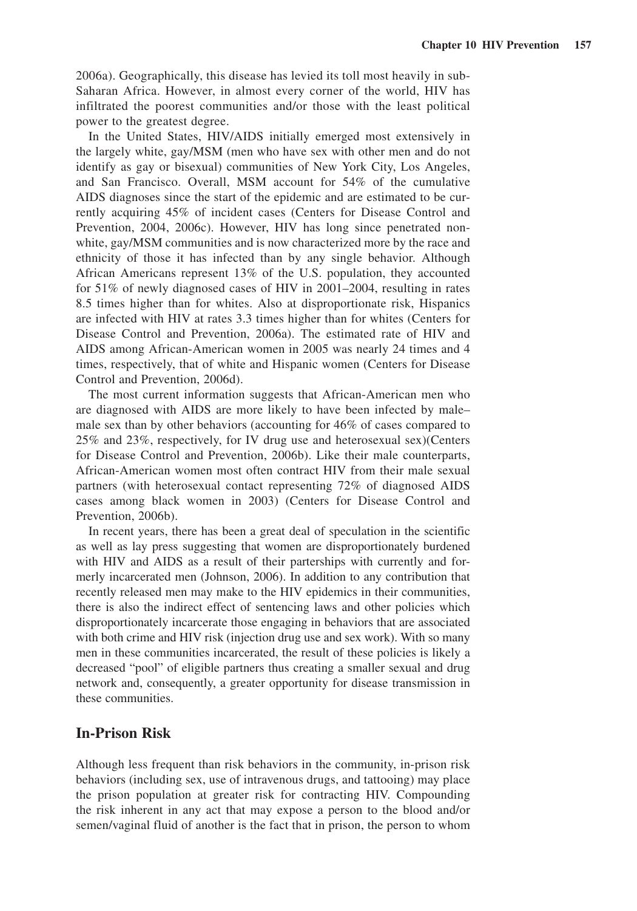2006a). Geographically, this disease has levied its toll most heavily in sub-Saharan Africa. However, in almost every corner of the world, HIV has infiltrated the poorest communities and/or those with the least political power to the greatest degree.

In the United States, HIV/AIDS initially emerged most extensively in the largely white, gay/MSM (men who have sex with other men and do not identify as gay or bisexual) communities of New York City, Los Angeles, and San Francisco. Overall, MSM account for 54% of the cumulative AIDS diagnoses since the start of the epidemic and are estimated to be currently acquiring 45% of incident cases (Centers for Disease Control and Prevention, 2004, 2006c). However, HIV has long since penetrated nonwhite, gay/MSM communities and is now characterized more by the race and ethnicity of those it has infected than by any single behavior. Although African Americans represent 13% of the U.S. population, they accounted for 51% of newly diagnosed cases of HIV in 2001–2004, resulting in rates 8.5 times higher than for whites. Also at disproportionate risk, Hispanics are infected with HIV at rates 3.3 times higher than for whites (Centers for Disease Control and Prevention, 2006a). The estimated rate of HIV and AIDS among African-American women in 2005 was nearly 24 times and 4 times, respectively, that of white and Hispanic women (Centers for Disease Control and Prevention, 2006d).

The most current information suggests that African-American men who are diagnosed with AIDS are more likely to have been infected by male– male sex than by other behaviors (accounting for 46% of cases compared to 25% and 23%, respectively, for IV drug use and heterosexual sex)(Centers for Disease Control and Prevention, 2006b). Like their male counterparts, African-American women most often contract HIV from their male sexual partners (with heterosexual contact representing 72% of diagnosed AIDS cases among black women in 2003) (Centers for Disease Control and Prevention, 2006b).

In recent years, there has been a great deal of speculation in the scientific as well as lay press suggesting that women are disproportionately burdened with HIV and AIDS as a result of their parterships with currently and formerly incarcerated men (Johnson, 2006). In addition to any contribution that recently released men may make to the HIV epidemics in their communities, there is also the indirect effect of sentencing laws and other policies which disproportionately incarcerate those engaging in behaviors that are associated with both crime and HIV risk (injection drug use and sex work). With so many men in these communities incarcerated, the result of these policies is likely a decreased "pool" of eligible partners thus creating a smaller sexual and drug network and, consequently, a greater opportunity for disease transmission in these communities.

# **In-Prison Risk**

Although less frequent than risk behaviors in the community, in-prison risk behaviors (including sex, use of intravenous drugs, and tattooing) may place the prison population at greater risk for contracting HIV. Compounding the risk inherent in any act that may expose a person to the blood and/or semen/vaginal fluid of another is the fact that in prison, the person to whom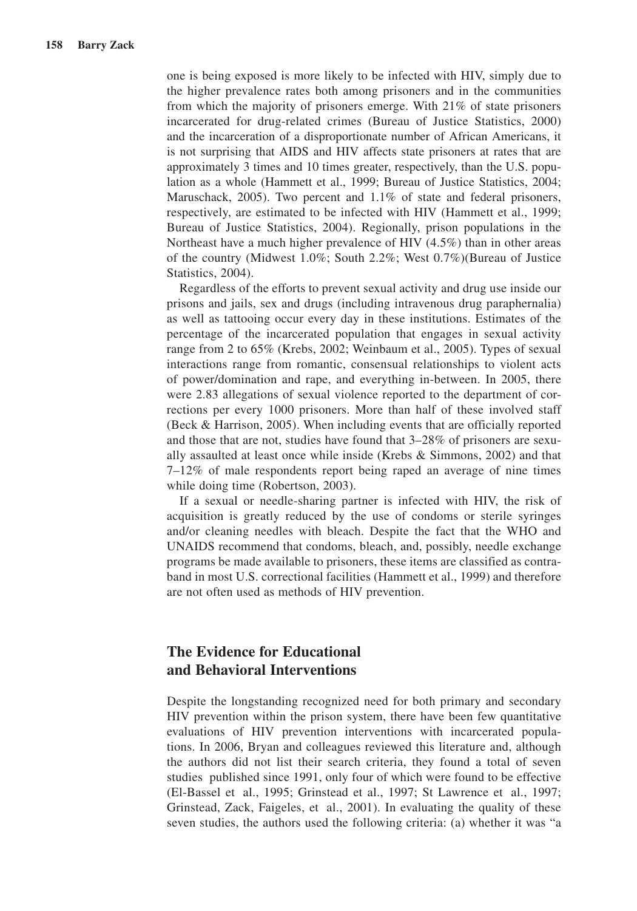one is being exposed is more likely to be infected with HIV, simply due to the higher prevalence rates both among prisoners and in the communities from which the majority of prisoners emerge. With 21% of state prisoners incarcerated for drug-related crimes (Bureau of Justice Statistics, 2000) and the incarceration of a disproportionate number of African Americans, it is not surprising that AIDS and HIV affects state prisoners at rates that are approximately 3 times and 10 times greater, respectively, than the U.S. population as a whole (Hammett et al., 1999; Bureau of Justice Statistics, 2004; Maruschack, 2005). Two percent and 1.1% of state and federal prisoners, respectively, are estimated to be infected with HIV (Hammett et al., 1999; Bureau of Justice Statistics, 2004). Regionally, prison populations in the Northeast have a much higher prevalence of HIV (4.5%) than in other areas of the country (Midwest 1.0%; South 2.2%; West 0.7%)(Bureau of Justice Statistics, 2004).

Regardless of the efforts to prevent sexual activity and drug use inside our prisons and jails, sex and drugs (including intravenous drug paraphernalia) as well as tattooing occur every day in these institutions. Estimates of the percentage of the incarcerated population that engages in sexual activity range from 2 to 65% (Krebs, 2002; Weinbaum et al., 2005). Types of sexual interactions range from romantic, consensual relationships to violent acts of power/domination and rape, and everything in-between. In 2005, there were 2.83 allegations of sexual violence reported to the department of corrections per every 1000 prisoners. More than half of these involved staff (Beck & Harrison, 2005). When including events that are officially reported and those that are not, studies have found that 3–28% of prisoners are sexually assaulted at least once while inside (Krebs & Simmons, 2002) and that 7–12% of male respondents report being raped an average of nine times while doing time (Robertson, 2003).

If a sexual or needle-sharing partner is infected with HIV, the risk of acquisition is greatly reduced by the use of condoms or sterile syringes and/or cleaning needles with bleach. Despite the fact that the WHO and UNAIDS recommend that condoms, bleach, and, possibly, needle exchange programs be made available to prisoners, these items are classified as contraband in most U.S. correctional facilities (Hammett et al., 1999) and therefore are not often used as methods of HIV prevention.

# **The Evidence for Educational and Behavioral Interventions**

Despite the longstanding recognized need for both primary and secondary HIV prevention within the prison system, there have been few quantitative evaluations of HIV prevention interventions with incarcerated populations. In 2006, Bryan and colleagues reviewed this literature and, although the authors did not list their search criteria, they found a total of seven studies published since 1991, only four of which were found to be effective (El-Bassel et al., 1995; Grinstead et al., 1997; St Lawrence et al., 1997; Grinstead, Zack, Faigeles, et al., 2001). In evaluating the quality of these seven studies, the authors used the following criteria: (a) whether it was "a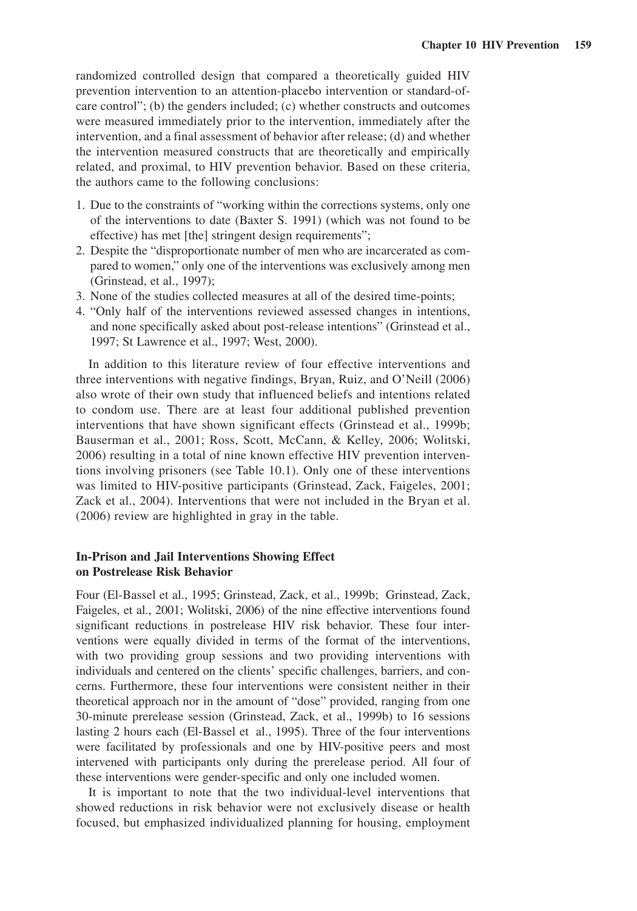randomized controlled design that compared a theoretically guided HIV prevention intervention to an attention-placebo intervention or standard-ofcare control"; (b) the genders included; (c) whether constructs and outcomes were measured immediately prior to the intervention, immediately after the intervention, and a final assessment of behavior after release; (d) and whether the intervention measured constructs that are theoretically and empirically related, and proximal, to HIV prevention behavior. Based on these criteria, the authors came to the following conclusions:

- 1. Due to the constraints of "working within the corrections systems, only one of the interventions to date (Baxter S. 1991) (which was not found to be effective) has met [the] stringent design requirements";
- 2. Despite the "disproportionate number of men who are incarcerated as compared to women," only one of the interventions was exclusively among men (Grinstead, et al., 1997);
- 3. None of the studies collected measures at all of the desired time-points;
- 4. "Only half of the interventions reviewed assessed changes in intentions, and none specifically asked about post-release intentions" (Grinstead et al., 1997; St Lawrence et al., 1997; West, 2000).

In addition to this literature review of four effective interventions and three interventions with negative findings, Bryan, Ruiz, and O'Neill (2006) also wrote of their own study that influenced beliefs and intentions related to condom use. There are at least four additional published prevention interventions that have shown significant effects (Grinstead et al., 1999b; Bauserman et al., 2001; Ross, Scott, McCann, & Kelley, 2006; Wolitski, 2006) resulting in a total of nine known effective HIV prevention interventions involving prisoners (see Table 10.1). Only one of these interventions was limited to HIV-positive participants (Grinstead, Zack, Faigeles, 2001; Zack et al., 2004). Interventions that were not included in the Bryan et al. (2006) review are highlighted in gray in the table.

# **In-Prison and Jail Interventions Showing Effect on Postrelease Risk Behavior**

Four (El-Bassel et al., 1995; Grinstead, Zack, et al., 1999b; Grinstead, Zack, Faigeles, et al., 2001; Wolitski, 2006) of the nine effective interventions found significant reductions in postrelease HIV risk behavior. These four interventions were equally divided in terms of the format of the interventions, with two providing group sessions and two providing interventions with individuals and centered on the clients' specific challenges, barriers, and concerns. Furthermore, these four interventions were consistent neither in their theoretical approach nor in the amount of "dose" provided, ranging from one 30-minute prerelease session (Grinstead, Zack, et al., 1999b) to 16 sessions lasting 2 hours each (El-Bassel et al., 1995). Three of the four interventions were facilitated by professionals and one by HIV-positive peers and most intervened with participants only during the prerelease period. All four of these interventions were gender-specific and only one included women.

It is important to note that the two individual-level interventions that showed reductions in risk behavior were not exclusively disease or health focused, but emphasized individualized planning for housing, employment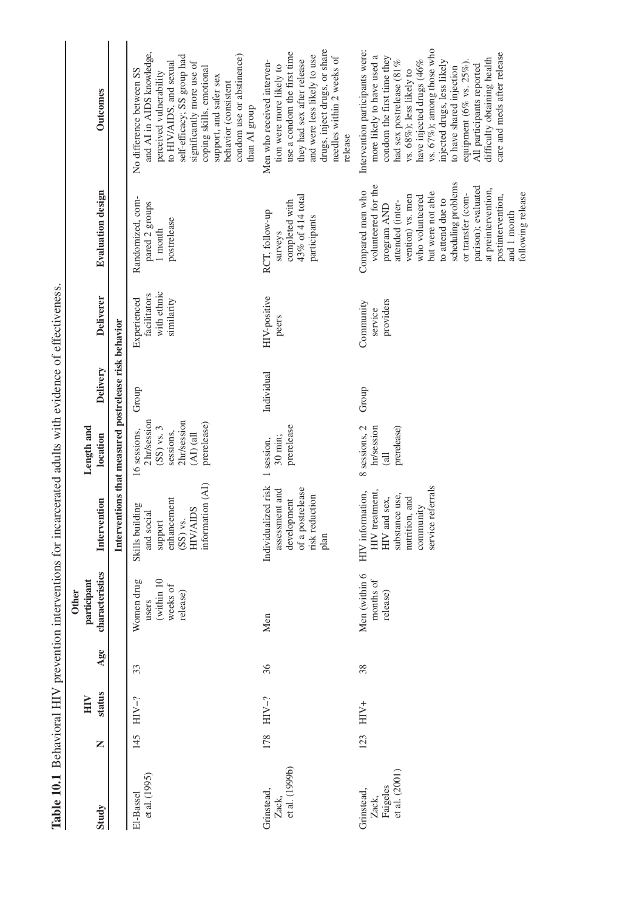|                                                  |     |                |     |                                                             | Table 10.1 Behavioral HIV prevention interventions for incarcerated adults with evidence of effectiveness.               |                                                                                                       |                 |                                                          |                                                                                                                                                                                                                                                                                                               |                                                                                                                                                                                                                                                                                                                                                                                                     |
|--------------------------------------------------|-----|----------------|-----|-------------------------------------------------------------|--------------------------------------------------------------------------------------------------------------------------|-------------------------------------------------------------------------------------------------------|-----------------|----------------------------------------------------------|---------------------------------------------------------------------------------------------------------------------------------------------------------------------------------------------------------------------------------------------------------------------------------------------------------------|-----------------------------------------------------------------------------------------------------------------------------------------------------------------------------------------------------------------------------------------------------------------------------------------------------------------------------------------------------------------------------------------------------|
|                                                  |     | HIV            |     | participant<br><b>Other</b>                                 |                                                                                                                          | Length and                                                                                            |                 |                                                          |                                                                                                                                                                                                                                                                                                               |                                                                                                                                                                                                                                                                                                                                                                                                     |
| Study                                            | Z   | status         | Age | characteristics                                             | Intervention                                                                                                             | location                                                                                              | <b>Delivery</b> | <b>Deliverer</b>                                         | <b>Evaluation</b> design                                                                                                                                                                                                                                                                                      | <b>Outcomes</b>                                                                                                                                                                                                                                                                                                                                                                                     |
|                                                  |     |                |     |                                                             | Interventions that measured postrelease risk behavior                                                                    |                                                                                                       |                 |                                                          |                                                                                                                                                                                                                                                                                                               |                                                                                                                                                                                                                                                                                                                                                                                                     |
| et al. (1995)<br>El-Bassel                       |     | $145$ HIV-?    | 33  | $(within 10$<br>Women drug<br>weeks of<br>release)<br>users | information (AI)<br>enhancement<br>Skills building<br><b>HIV/AIDS</b><br>and social<br>(SS) vs.<br>support               | 2hr/session<br>2hr/session<br>prerelease)<br>$(SS)$ vs. $3$<br>16 sessions,<br>sessions,<br>(AI) (all | Group           | with ethnic<br>facilitators<br>similarity<br>Experienced | Randomized, com-<br>pared 2 groups<br>postrelease<br>1 month                                                                                                                                                                                                                                                  | and AI in AIDS knowledge,<br>condom use or abstinence)<br>self-efficacy; SS group had<br>significantly more use of<br>to HIV/AIDS, and sexual<br>coping skills, emotional<br>No difference between SS<br>perceived vulnerability<br>support, and safer sex<br>behavior (consistent<br>than AI group                                                                                                 |
| et al. (1999b)<br>Grinstead,<br>Zack,            |     | $178$ HIV $-2$ | 36  | Men                                                         | Individualized risk<br>of a postrelease<br>assessment and<br>risk reduction<br>development<br>plan                       | prerelease<br>30 min;<br>1 session,                                                                   | Individual      | HIV-positive<br>peers                                    | 43% of 414 total<br>completed with<br>RCT, follow-up<br>participants<br>surveys                                                                                                                                                                                                                               | drugs, inject drugs, or share<br>use a condom the first time<br>and were less likely to use<br>needles within 2 weeks of<br>they had sex after release<br>Men who received interven-<br>tion were more likely to<br>release                                                                                                                                                                         |
| et al. (2001)<br>Zack,<br>Faigeles<br>Grinstead, | 123 | $HIV+$         | 38  | Men (within 6<br>months of<br>release)                      | service referrals<br>HIV treatment,<br>HIV information,<br>substance use,<br>HIV and sex,<br>nutrition, and<br>community | hr/session<br>8 sessions, 2<br>prerelease)<br>$\overline{\phantom{a}}$                                | Group           | providers<br>Community<br>service                        | scheduling problems<br>volunteered for the<br>parison); evaluated<br>at preintervention,<br>Compared men who<br>but were not able<br>or transfer (com-<br>following release<br>vention) vs. men<br>who volunteered<br>postintervention,<br>to attend due to<br>attended (inter-<br>program AND<br>and 1 month | vs. 67%); among those who<br>Intervention participants were:<br>care and meds after release<br>more likely to have used a<br>condom the first time they<br>difficulty obtaining health<br>have injected drugs (46%<br>had sex postrelease (81%<br>injected drugs, less likely<br>equipment $(6\%$ vs. $25\%$ )<br>All participants reported<br>to have shared injection<br>vs. 68%); less likely to |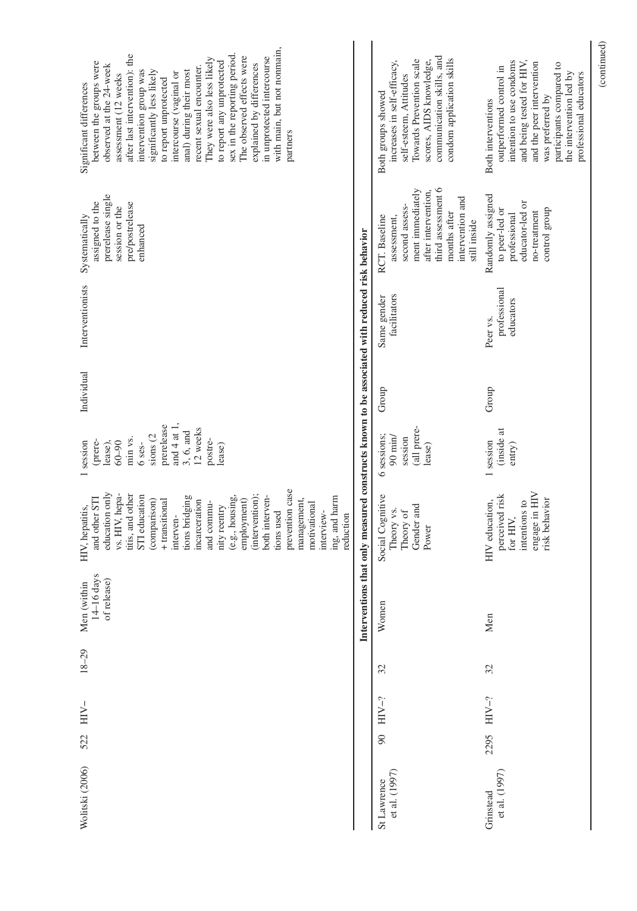| with main, but not nonmain,<br>after last intervention): the<br>sex in the reporting period.<br>The observed effects were<br>in unprotected intercourse<br>They were also less likely<br>to report any unprotected<br>between the groups were<br>explained by differences<br>observed at the 24-week<br>recent sexual encounter.<br>intervention group was<br>significantly less likely<br>anal) during their most<br>intercourse (vaginal or<br>assessment (12 weeks<br>to report unprotected<br>Significant differences<br>partners |                                                                                               | communication skills, and<br>condom application skills<br>Towards Prevention scale<br>scores, AIDS knowledge,<br>increases in self-efficacy,<br>self-esteem, Attitudes<br>Both groups showed | intention to use condoms<br>and being tested for HIV,<br>and the peer intervention<br>participants compared to<br>outperformed control in<br>the intervention led by<br>professional educators<br>was preferred by<br>Both interventions | (continued) |
|---------------------------------------------------------------------------------------------------------------------------------------------------------------------------------------------------------------------------------------------------------------------------------------------------------------------------------------------------------------------------------------------------------------------------------------------------------------------------------------------------------------------------------------|-----------------------------------------------------------------------------------------------|----------------------------------------------------------------------------------------------------------------------------------------------------------------------------------------------|------------------------------------------------------------------------------------------------------------------------------------------------------------------------------------------------------------------------------------------|-------------|
| prerelease single<br>assigned to the<br>pre/postrelease<br>session or the<br>Systematically<br>enhanced                                                                                                                                                                                                                                                                                                                                                                                                                               |                                                                                               | third assessment 6<br>ment immediately<br>after intervention,<br>intervention and<br>second assess-<br>months after<br>RCT. Baseline<br>assessment,<br>still inside                          | Randomly assigned<br>educator-led or<br>control group<br>to peer-led or<br>no-treatment<br>professional                                                                                                                                  |             |
| Interventionists                                                                                                                                                                                                                                                                                                                                                                                                                                                                                                                      |                                                                                               | facilitators<br>Same gender                                                                                                                                                                  | professional<br>educators<br>Peer vs.                                                                                                                                                                                                    |             |
| Individual                                                                                                                                                                                                                                                                                                                                                                                                                                                                                                                            |                                                                                               | Group                                                                                                                                                                                        | Group                                                                                                                                                                                                                                    |             |
| and $4$ at 1,<br>prerelease<br>12 weeks<br>3, 6, and<br>sions (2<br>min vs.<br>postre-<br>lease),<br>(prere-<br>$06 - 00$<br>session<br>$6$ ses-<br>lease)                                                                                                                                                                                                                                                                                                                                                                            |                                                                                               | (all prere-<br>sessions;<br>$90 \text{ min}$<br>session<br>lease)<br>$\circ$                                                                                                                 | (inside at<br>session<br>entry)<br>$\overline{\phantom{0}}$                                                                                                                                                                              |             |
| prevention case<br>education only<br>titis, and other<br>vs. HIV, hepa-<br>STI education<br>(intervention);<br>ing, and harm<br>tions bridging<br>and other STI<br>both interven-<br>(e.g., housing,<br>management,<br>(comparison)<br>+ transitional<br>incarceration<br>employment)<br>and commu-<br>motivational<br>nity reentry<br>HIV, hepatitis,<br>tions used<br>interview-<br>reduction<br>interven-                                                                                                                          | Interventions that only measured constructs known to be associated with reduced risk behavior | Social Cognitive<br>Gender and<br>Theory vs.<br>Theory of<br>Power                                                                                                                           | engage in HIV<br>perceived risk<br>risk behavior<br>intentions to<br>HIV education,<br>for HIV.                                                                                                                                          |             |
| 14-16 days<br>of release)<br>Men (within                                                                                                                                                                                                                                                                                                                                                                                                                                                                                              |                                                                                               | Women                                                                                                                                                                                        | Men                                                                                                                                                                                                                                      |             |
| $18 - 29$                                                                                                                                                                                                                                                                                                                                                                                                                                                                                                                             |                                                                                               | 32                                                                                                                                                                                           | $\mathfrak{L}$                                                                                                                                                                                                                           |             |
| $HIV-$<br>522                                                                                                                                                                                                                                                                                                                                                                                                                                                                                                                         |                                                                                               | $HIV-?$<br>90                                                                                                                                                                                | 2295 HIV-?                                                                                                                                                                                                                               |             |
| Wolitski (2006)                                                                                                                                                                                                                                                                                                                                                                                                                                                                                                                       |                                                                                               | et al. (1997)<br>St Lawrence                                                                                                                                                                 | et al. (1997)<br>Grinstead                                                                                                                                                                                                               |             |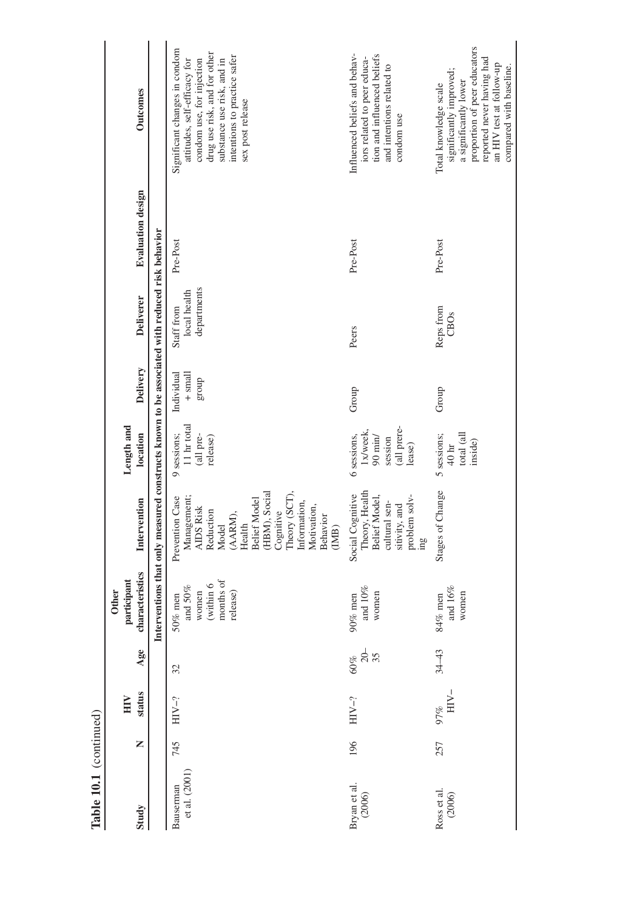| Table 10.1 (continued)       |     |               |                       |                                                                                         |                                                                                                                                                                                                                                |                                                                          |                                  |                                           |                          |                                                                                                                                                                                                              |
|------------------------------|-----|---------------|-----------------------|-----------------------------------------------------------------------------------------|--------------------------------------------------------------------------------------------------------------------------------------------------------------------------------------------------------------------------------|--------------------------------------------------------------------------|----------------------------------|-------------------------------------------|--------------------------|--------------------------------------------------------------------------------------------------------------------------------------------------------------------------------------------------------------|
|                              |     | HIV           |                       | participant<br><b>Other</b>                                                             |                                                                                                                                                                                                                                | Length and                                                               |                                  |                                           |                          |                                                                                                                                                                                                              |
| Study                        | Z   | status        | Age                   | characteristics                                                                         | Intervention                                                                                                                                                                                                                   | location                                                                 | Delivery                         | <b>Deliverer</b>                          | <b>Evaluation</b> design | Outcomes                                                                                                                                                                                                     |
|                              |     |               |                       |                                                                                         | Interventions that only measured constructs known to be associated with reduced risk behavior                                                                                                                                  |                                                                          |                                  |                                           |                          |                                                                                                                                                                                                              |
| et al. $(2001)$<br>Bauserman | 745 | $HIV-?$       | 32                    | and 50% women<br>women<br>(within 6<br>months of<br>months of<br>release)<br>$50\%$ men | (HBM), Social<br>Theory (SCT),<br>Prevention Case<br>Management;<br><b>Belief Model</b><br>Information,<br><b>AIDS Risk</b><br>Motivation,<br>Reduction<br>Cognitive<br>(AARM),<br><b>Behavior</b><br>Model<br>Health<br>(MIB) | 11 hr total<br>9 sessions;<br>(all pre-<br>release)                      | Individual<br>$+$ small<br>group | departments<br>local health<br>Staff from | Pre-Post                 | Significant changes in condom<br>drug use risk, and for other<br>intentions to practice safer<br>attitudes, self-efficacy for<br>condom use, for injection<br>substance use risk, and in<br>sex post release |
| Bryan et al.<br>(2006)       | 196 | $HIV-?$       | $20-$<br>$60\%$<br>35 | and $10\%$ women<br>$90\%$ men                                                          | Theory, Health<br>Social Cognitive<br>Belief Model,<br>problem solv-<br>cultural sen-<br>sitivity, and<br>$\lim_{\delta}$                                                                                                      | (all prere-<br>1x/week,<br>6 sessions,<br>$90$ min/<br>session<br>lease) | Group                            | Peers                                     | Pre-Post                 | Influenced beliefs and behav-<br>tion and influenced beliefs<br>iors related to peer educa-<br>and intentions related to<br>condom use                                                                       |
| Ross et al.<br>(2006)        | 257 | $HIV-$<br>97% | $34 - 43$             | and $16\%$<br>women<br>$84\%$ men                                                       | Stages of Change                                                                                                                                                                                                               | total (all<br>5 sessions;<br>inside)<br>$40\ \mathrm{hr}$                | Group                            | Reps from<br>CBOs                         | Pre-Post                 | proportion of peer educators<br>reported never having had<br>an HIV test at follow-up<br>compared with baseline.<br>significantly improved;<br>a significantly lower<br>Total knowledge scale                |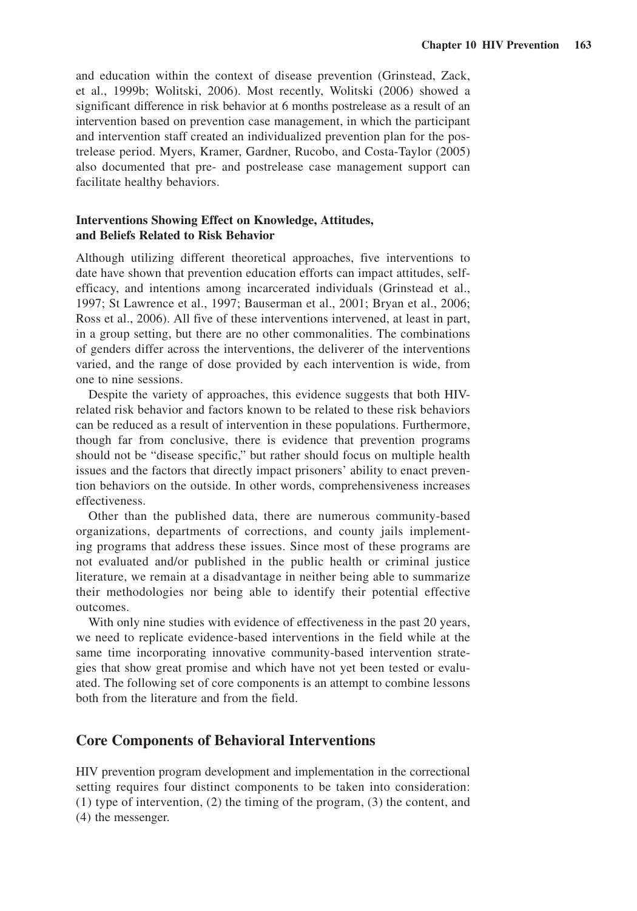and education within the context of disease prevention (Grinstead, Zack, et al., 1999b; Wolitski, 2006). Most recently, Wolitski (2006) showed a significant difference in risk behavior at 6 months postrelease as a result of an intervention based on prevention case management, in which the participant and intervention staff created an individualized prevention plan for the postrelease period. Myers, Kramer, Gardner, Rucobo, and Costa-Taylor (2005) also documented that pre- and postrelease case management support can facilitate healthy behaviors.

# **Interventions Showing Effect on Knowledge, Attitudes, and Beliefs Related to Risk Behavior**

Although utilizing different theoretical approaches, five interventions to date have shown that prevention education efforts can impact attitudes, selfefficacy, and intentions among incarcerated individuals (Grinstead et al., 1997; St Lawrence et al., 1997; Bauserman et al., 2001; Bryan et al., 2006; Ross et al., 2006). All five of these interventions intervened, at least in part, in a group setting, but there are no other commonalities. The combinations of genders differ across the interventions, the deliverer of the interventions varied, and the range of dose provided by each intervention is wide, from one to nine sessions.

Despite the variety of approaches, this evidence suggests that both HIVrelated risk behavior and factors known to be related to these risk behaviors can be reduced as a result of intervention in these populations. Furthermore, though far from conclusive, there is evidence that prevention programs should not be "disease specific," but rather should focus on multiple health issues and the factors that directly impact prisoners' ability to enact prevention behaviors on the outside. In other words, comprehensiveness increases effectiveness.

Other than the published data, there are numerous community-based organizations, departments of corrections, and county jails implementing programs that address these issues. Since most of these programs are not evaluated and/or published in the public health or criminal justice literature, we remain at a disadvantage in neither being able to summarize their methodologies nor being able to identify their potential effective outcomes.

With only nine studies with evidence of effectiveness in the past 20 years, we need to replicate evidence-based interventions in the field while at the same time incorporating innovative community-based intervention strategies that show great promise and which have not yet been tested or evaluated. The following set of core components is an attempt to combine lessons both from the literature and from the field.

# **Core Components of Behavioral Interventions**

HIV prevention program development and implementation in the correctional setting requires four distinct components to be taken into consideration: (1) type of intervention, (2) the timing of the program, (3) the content, and (4) the messenger.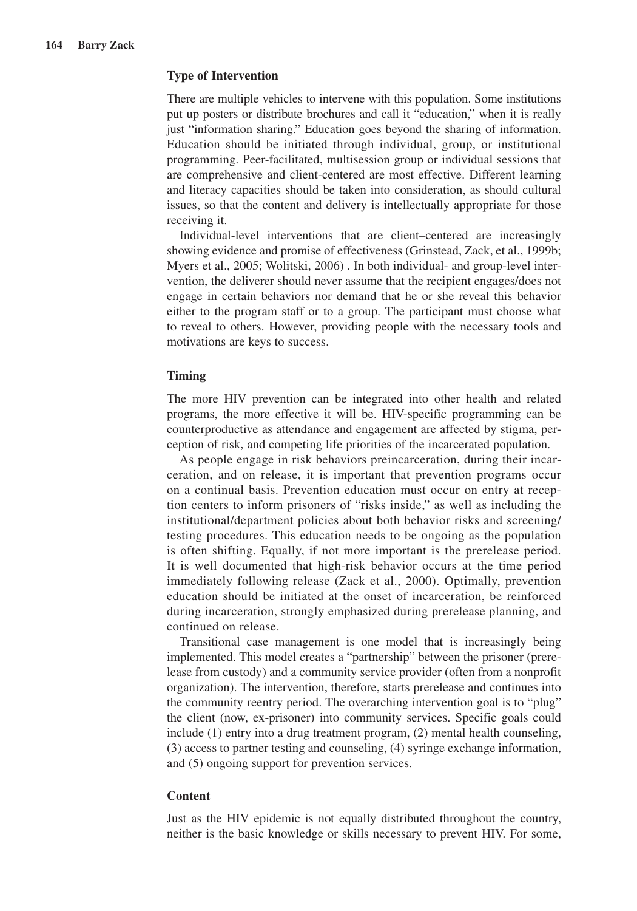#### **Type of Intervention**

There are multiple vehicles to intervene with this population. Some institutions put up posters or distribute brochures and call it "education," when it is really just "information sharing." Education goes beyond the sharing of information. Education should be initiated through individual, group, or institutional programming. Peer-facilitated, multisession group or individual sessions that are comprehensive and client-centered are most effective. Different learning and literacy capacities should be taken into consideration, as should cultural issues, so that the content and delivery is intellectually appropriate for those receiving it.

Individual-level interventions that are client–centered are increasingly showing evidence and promise of effectiveness (Grinstead, Zack, et al., 1999b; Myers et al., 2005; Wolitski, 2006) . In both individual- and group-level intervention, the deliverer should never assume that the recipient engages/does not engage in certain behaviors nor demand that he or she reveal this behavior either to the program staff or to a group. The participant must choose what to reveal to others. However, providing people with the necessary tools and motivations are keys to success.

#### **Timing**

The more HIV prevention can be integrated into other health and related programs, the more effective it will be. HIV-specific programming can be counterproductive as attendance and engagement are affected by stigma, perception of risk, and competing life priorities of the incarcerated population.

As people engage in risk behaviors preincarceration, during their incarceration, and on release, it is important that prevention programs occur on a continual basis. Prevention education must occur on entry at reception centers to inform prisoners of "risks inside," as well as including the institutional/department policies about both behavior risks and screening/ testing procedures. This education needs to be ongoing as the population is often shifting. Equally, if not more important is the prerelease period. It is well documented that high-risk behavior occurs at the time period immediately following release (Zack et al., 2000). Optimally, prevention education should be initiated at the onset of incarceration, be reinforced during incarceration, strongly emphasized during prerelease planning, and continued on release.

Transitional case management is one model that is increasingly being implemented. This model creates a "partnership" between the prisoner (prerelease from custody) and a community service provider (often from a nonprofit organization). The intervention, therefore, starts prerelease and continues into the community reentry period. The overarching intervention goal is to "plug" the client (now, ex-prisoner) into community services. Specific goals could include (1) entry into a drug treatment program, (2) mental health counseling, (3) access to partner testing and counseling, (4) syringe exchange information, and (5) ongoing support for prevention services.

#### **Content**

Just as the HIV epidemic is not equally distributed throughout the country, neither is the basic knowledge or skills necessary to prevent HIV. For some,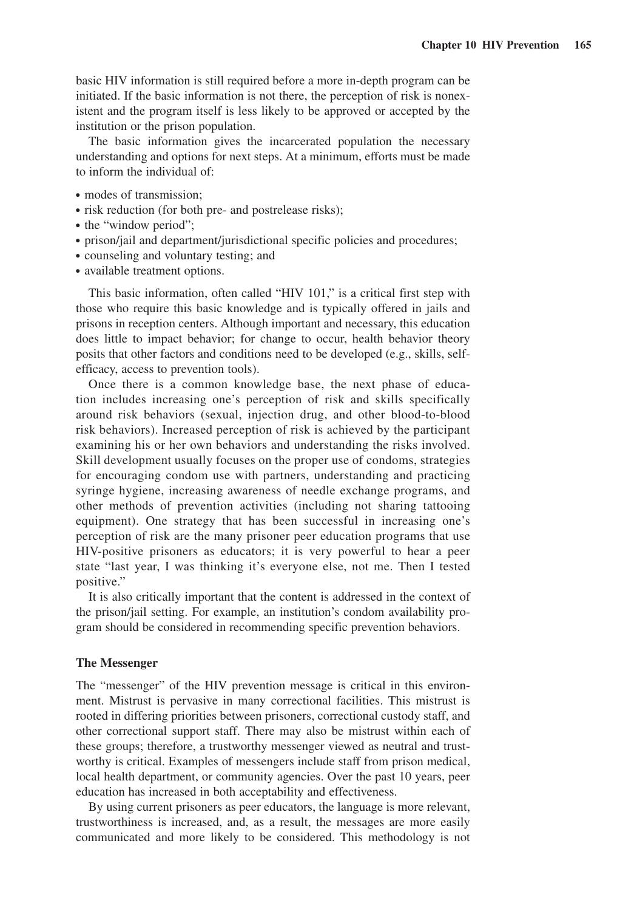basic HIV information is still required before a more in-depth program can be initiated. If the basic information is not there, the perception of risk is nonexistent and the program itself is less likely to be approved or accepted by the institution or the prison population.

The basic information gives the incarcerated population the necessary understanding and options for next steps. At a minimum, efforts must be made to inform the individual of:

- modes of transmission:
- risk reduction (for both pre- and postrelease risks);
- the "window period";
- prison/jail and department/jurisdictional specific policies and procedures;
- counseling and voluntary testing; and
- available treatment options.

This basic information, often called "HIV 101," is a critical first step with those who require this basic knowledge and is typically offered in jails and prisons in reception centers. Although important and necessary, this education does little to impact behavior; for change to occur, health behavior theory posits that other factors and conditions need to be developed (e.g., skills, selfefficacy, access to prevention tools).

Once there is a common knowledge base, the next phase of education includes increasing one's perception of risk and skills specifically around risk behaviors (sexual, injection drug, and other blood-to-blood risk behaviors). Increased perception of risk is achieved by the participant examining his or her own behaviors and understanding the risks involved. Skill development usually focuses on the proper use of condoms, strategies for encouraging condom use with partners, understanding and practicing syringe hygiene, increasing awareness of needle exchange programs, and other methods of prevention activities (including not sharing tattooing equipment). One strategy that has been successful in increasing one's perception of risk are the many prisoner peer education programs that use HIV-positive prisoners as educators; it is very powerful to hear a peer state "last year, I was thinking it's everyone else, not me. Then I tested positive."

It is also critically important that the content is addressed in the context of the prison/jail setting. For example, an institution's condom availability program should be considered in recommending specific prevention behaviors.

#### **The Messenger**

The "messenger" of the HIV prevention message is critical in this environment. Mistrust is pervasive in many correctional facilities. This mistrust is rooted in differing priorities between prisoners, correctional custody staff, and other correctional support staff. There may also be mistrust within each of these groups; therefore, a trustworthy messenger viewed as neutral and trustworthy is critical. Examples of messengers include staff from prison medical, local health department, or community agencies. Over the past 10 years, peer education has increased in both acceptability and effectiveness.

By using current prisoners as peer educators, the language is more relevant, trustworthiness is increased, and, as a result, the messages are more easily communicated and more likely to be considered. This methodology is not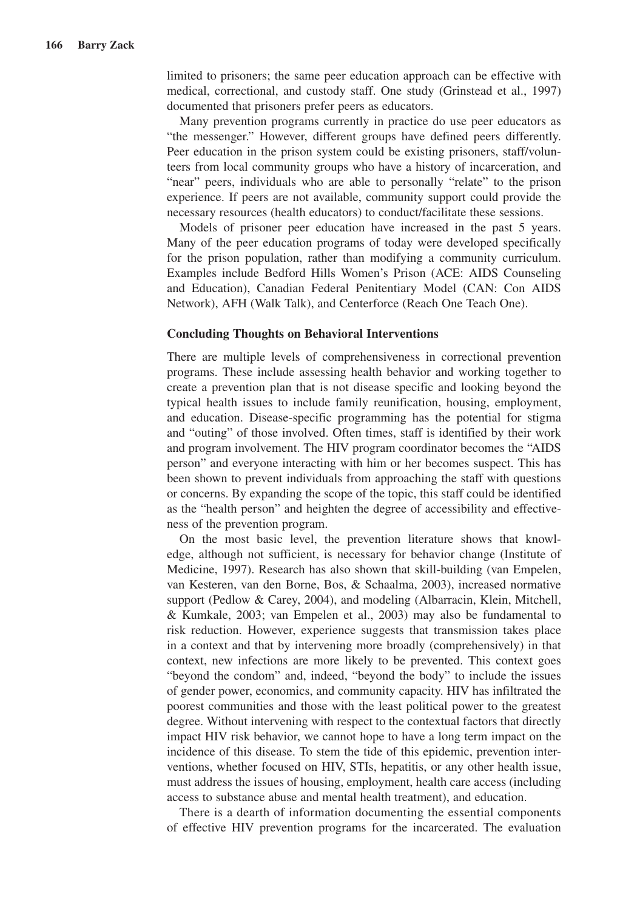limited to prisoners; the same peer education approach can be effective with medical, correctional, and custody staff. One study (Grinstead et al., 1997) documented that prisoners prefer peers as educators.

Many prevention programs currently in practice do use peer educators as "the messenger." However, different groups have defined peers differently. Peer education in the prison system could be existing prisoners, staff/volunteers from local community groups who have a history of incarceration, and "near" peers, individuals who are able to personally "relate" to the prison experience. If peers are not available, community support could provide the necessary resources (health educators) to conduct/facilitate these sessions.

Models of prisoner peer education have increased in the past 5 years. Many of the peer education programs of today were developed specifically for the prison population, rather than modifying a community curriculum. Examples include Bedford Hills Women's Prison (ACE: AIDS Counseling and Education), Canadian Federal Penitentiary Model (CAN: Con AIDS Network), AFH (Walk Talk), and Centerforce (Reach One Teach One).

#### **Concluding Thoughts on Behavioral Interventions**

There are multiple levels of comprehensiveness in correctional prevention programs. These include assessing health behavior and working together to create a prevention plan that is not disease specific and looking beyond the typical health issues to include family reunification, housing, employment, and education. Disease-specific programming has the potential for stigma and "outing" of those involved. Often times, staff is identified by their work and program involvement. The HIV program coordinator becomes the "AIDS person" and everyone interacting with him or her becomes suspect. This has been shown to prevent individuals from approaching the staff with questions or concerns. By expanding the scope of the topic, this staff could be identified as the "health person" and heighten the degree of accessibility and effectiveness of the prevention program.

On the most basic level, the prevention literature shows that knowledge, although not sufficient, is necessary for behavior change (Institute of Medicine, 1997). Research has also shown that skill-building (van Empelen, van Kesteren, van den Borne, Bos, & Schaalma, 2003), increased normative support (Pedlow & Carey, 2004), and modeling (Albarracin, Klein, Mitchell, & Kumkale, 2003; van Empelen et al., 2003) may also be fundamental to risk reduction. However, experience suggests that transmission takes place in a context and that by intervening more broadly (comprehensively) in that context, new infections are more likely to be prevented. This context goes "beyond the condom" and, indeed, "beyond the body" to include the issues of gender power, economics, and community capacity. HIV has infiltrated the poorest communities and those with the least political power to the greatest degree. Without intervening with respect to the contextual factors that directly impact HIV risk behavior, we cannot hope to have a long term impact on the incidence of this disease. To stem the tide of this epidemic, prevention interventions, whether focused on HIV, STIs, hepatitis, or any other health issue, must address the issues of housing, employment, health care access (including access to substance abuse and mental health treatment), and education.

There is a dearth of information documenting the essential components of effective HIV prevention programs for the incarcerated. The evaluation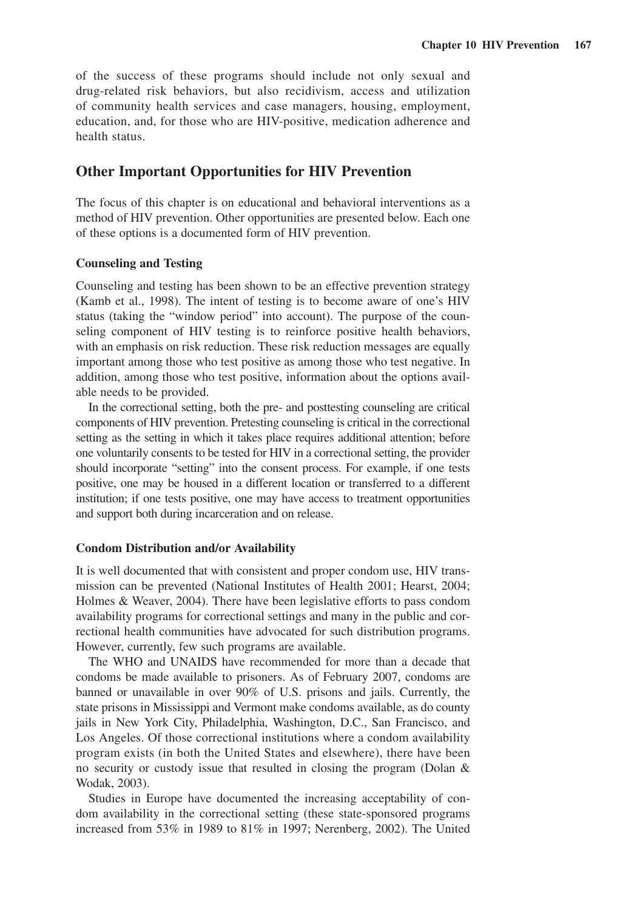of the success of these programs should include not only sexual and drug-related risk behaviors, but also recidivism, access and utilization of community health services and case managers, housing, employment, education, and, for those who are HIV-positive, medication adherence and health status.

# **Other Important Opportunities for HIV Prevention**

The focus of this chapter is on educational and behavioral interventions as a method of HIV prevention. Other opportunities are presented below. Each one of these options is a documented form of HIV prevention.

#### **Counseling and Testing**

Counseling and testing has been shown to be an effective prevention strategy (Kamb et al., 1998). The intent of testing is to become aware of one's HIV status (taking the "window period" into account). The purpose of the counseling component of HIV testing is to reinforce positive health behaviors, with an emphasis on risk reduction. These risk reduction messages are equally important among those who test positive as among those who test negative. In addition, among those who test positive, information about the options available needs to be provided.

In the correctional setting, both the pre- and posttesting counseling are critical components of HIV prevention. Pretesting counseling is critical in the correctional setting as the setting in which it takes place requires additional attention; before one voluntarily consents to be tested for HIV in a correctional setting, the provider should incorporate "setting" into the consent process. For example, if one tests positive, one may be housed in a different location or transferred to a different institution; if one tests positive, one may have access to treatment opportunities and support both during incarceration and on release.

#### **Condom Distribution and/or Availability**

It is well documented that with consistent and proper condom use, HIV transmission can be prevented (National Institutes of Health 2001; Hearst, 2004; Holmes & Weaver, 2004). There have been legislative efforts to pass condom availability programs for correctional settings and many in the public and correctional health communities have advocated for such distribution programs. However, currently, few such programs are available.

The WHO and UNAIDS have recommended for more than a decade that condoms be made available to prisoners. As of February 2007, condoms are banned or unavailable in over 90% of U.S. prisons and jails. Currently, the state prisons in Mississippi and Vermont make condoms available, as do county jails in New York City, Philadelphia, Washington, D.C., San Francisco, and Los Angeles. Of those correctional institutions where a condom availability program exists (in both the United States and elsewhere), there have been no security or custody issue that resulted in closing the program (Dolan & Wodak, 2003).

Studies in Europe have documented the increasing acceptability of condom availability in the correctional setting (these state-sponsored programs increased from 53% in 1989 to 81% in 1997; Nerenberg, 2002). The United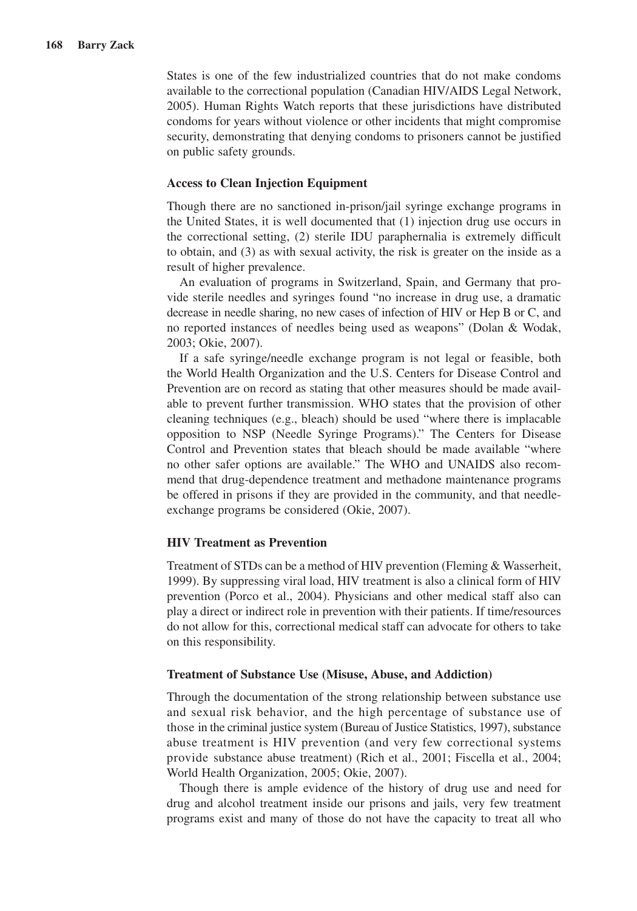States is one of the few industrialized countries that do not make condoms available to the correctional population (Canadian HIV/AIDS Legal Network, 2005). Human Rights Watch reports that these jurisdictions have distributed condoms for years without violence or other incidents that might compromise security, demonstrating that denying condoms to prisoners cannot be justified on public safety grounds.

#### **Access to Clean Injection Equipment**

Though there are no sanctioned in-prison/jail syringe exchange programs in the United States, it is well documented that (1) injection drug use occurs in the correctional setting, (2) sterile IDU paraphernalia is extremely difficult to obtain, and (3) as with sexual activity, the risk is greater on the inside as a result of higher prevalence.

An evaluation of programs in Switzerland, Spain, and Germany that provide sterile needles and syringes found "no increase in drug use, a dramatic decrease in needle sharing, no new cases of infection of HIV or Hep B or C, and no reported instances of needles being used as weapons" (Dolan & Wodak, 2003; Okie, 2007).

If a safe syringe/needle exchange program is not legal or feasible, both the World Health Organization and the U.S. Centers for Disease Control and Prevention are on record as stating that other measures should be made available to prevent further transmission. WHO states that the provision of other cleaning techniques (e.g., bleach) should be used "where there is implacable opposition to NSP (Needle Syringe Programs)." The Centers for Disease Control and Prevention states that bleach should be made available "where no other safer options are available." The WHO and UNAIDS also recommend that drug-dependence treatment and methadone maintenance programs be offered in prisons if they are provided in the community, and that needleexchange programs be considered (Okie, 2007).

#### **HIV Treatment as Prevention**

Treatment of STDs can be a method of HIV prevention (Fleming & Wasserheit, 1999). By suppressing viral load, HIV treatment is also a clinical form of HIV prevention (Porco et al., 2004). Physicians and other medical staff also can play a direct or indirect role in prevention with their patients. If time/resources do not allow for this, correctional medical staff can advocate for others to take on this responsibility.

#### **Treatment of Substance Use (Misuse, Abuse, and Addiction)**

Through the documentation of the strong relationship between substance use and sexual risk behavior, and the high percentage of substance use of those in the criminal justice system (Bureau of Justice Statistics, 1997), substance abuse treatment is HIV prevention (and very few correctional systems provide substance abuse treatment) (Rich et al., 2001; Fiscella et al., 2004; World Health Organization, 2005; Okie, 2007).

Though there is ample evidence of the history of drug use and need for drug and alcohol treatment inside our prisons and jails, very few treatment programs exist and many of those do not have the capacity to treat all who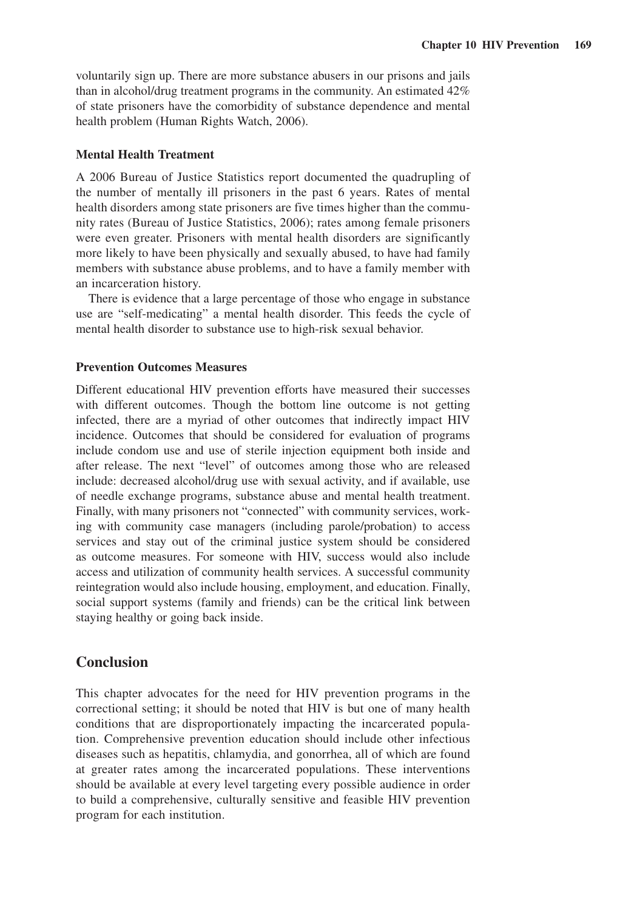voluntarily sign up. There are more substance abusers in our prisons and jails than in alcohol/drug treatment programs in the community. An estimated 42% of state prisoners have the comorbidity of substance dependence and mental health problem (Human Rights Watch, 2006).

### **Mental Health Treatment**

A 2006 Bureau of Justice Statistics report documented the quadrupling of the number of mentally ill prisoners in the past 6 years. Rates of mental health disorders among state prisoners are five times higher than the community rates (Bureau of Justice Statistics, 2006); rates among female prisoners were even greater. Prisoners with mental health disorders are significantly more likely to have been physically and sexually abused, to have had family members with substance abuse problems, and to have a family member with an incarceration history.

There is evidence that a large percentage of those who engage in substance use are "self-medicating" a mental health disorder. This feeds the cycle of mental health disorder to substance use to high-risk sexual behavior.

# **Prevention Outcomes Measures**

Different educational HIV prevention efforts have measured their successes with different outcomes. Though the bottom line outcome is not getting infected, there are a myriad of other outcomes that indirectly impact HIV incidence. Outcomes that should be considered for evaluation of programs include condom use and use of sterile injection equipment both inside and after release. The next "level" of outcomes among those who are released include: decreased alcohol/drug use with sexual activity, and if available, use of needle exchange programs, substance abuse and mental health treatment. Finally, with many prisoners not "connected" with community services, working with community case managers (including parole/probation) to access services and stay out of the criminal justice system should be considered as outcome measures. For someone with HIV, success would also include access and utilization of community health services. A successful community reintegration would also include housing, employment, and education. Finally, social support systems (family and friends) can be the critical link between staying healthy or going back inside.

# **Conclusion**

This chapter advocates for the need for HIV prevention programs in the correctional setting; it should be noted that HIV is but one of many health conditions that are disproportionately impacting the incarcerated population. Comprehensive prevention education should include other infectious diseases such as hepatitis, chlamydia, and gonorrhea, all of which are found at greater rates among the incarcerated populations. These interventions should be available at every level targeting every possible audience in order to build a comprehensive, culturally sensitive and feasible HIV prevention program for each institution.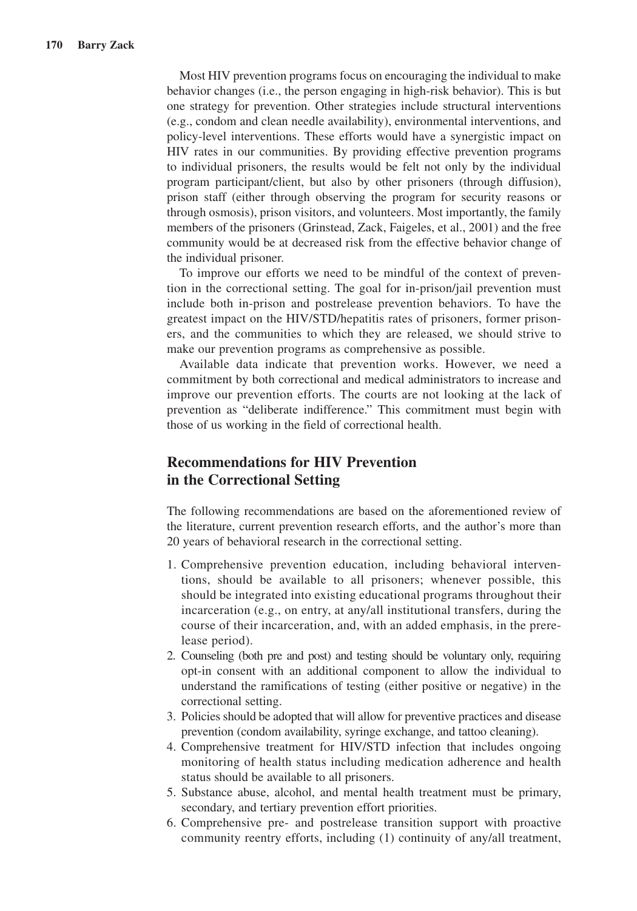Most HIV prevention programs focus on encouraging the individual to make behavior changes (i.e., the person engaging in high-risk behavior). This is but one strategy for prevention. Other strategies include structural interventions (e.g., condom and clean needle availability), environmental interventions, and policy-level interventions. These efforts would have a synergistic impact on HIV rates in our communities. By providing effective prevention programs to individual prisoners, the results would be felt not only by the individual program participant/client, but also by other prisoners (through diffusion), prison staff (either through observing the program for security reasons or through osmosis), prison visitors, and volunteers. Most importantly, the family members of the prisoners (Grinstead, Zack, Faigeles, et al., 2001) and the free community would be at decreased risk from the effective behavior change of the individual prisoner.

To improve our efforts we need to be mindful of the context of prevention in the correctional setting. The goal for in-prison/jail prevention must include both in-prison and postrelease prevention behaviors. To have the greatest impact on the HIV/STD/hepatitis rates of prisoners, former prisoners, and the communities to which they are released, we should strive to make our prevention programs as comprehensive as possible.

Available data indicate that prevention works. However, we need a commitment by both correctional and medical administrators to increase and improve our prevention efforts. The courts are not looking at the lack of prevention as "deliberate indifference." This commitment must begin with those of us working in the field of correctional health.

# **Recommendations for HIV Prevention in the Correctional Setting**

The following recommendations are based on the aforementioned review of the literature, current prevention research efforts, and the author's more than 20 years of behavioral research in the correctional setting.

- 1. Comprehensive prevention education, including behavioral interventions, should be available to all prisoners; whenever possible, this should be integrated into existing educational programs throughout their incarceration (e.g., on entry, at any/all institutional transfers, during the course of their incarceration, and, with an added emphasis, in the prerelease period).
- 2. Counseling (both pre and post) and testing should be voluntary only, requiring opt-in consent with an additional component to allow the individual to understand the ramifications of testing (either positive or negative) in the correctional setting.
- 3. Policies should be adopted that will allow for preventive practices and disease prevention (condom availability, syringe exchange, and tattoo cleaning).
- 4. Comprehensive treatment for HIV/STD infection that includes ongoing monitoring of health status including medication adherence and health status should be available to all prisoners.
- 5. Substance abuse, alcohol, and mental health treatment must be primary, secondary, and tertiary prevention effort priorities.
- 6. Comprehensive pre- and postrelease transition support with proactive community reentry efforts, including (1) continuity of any/all treatment,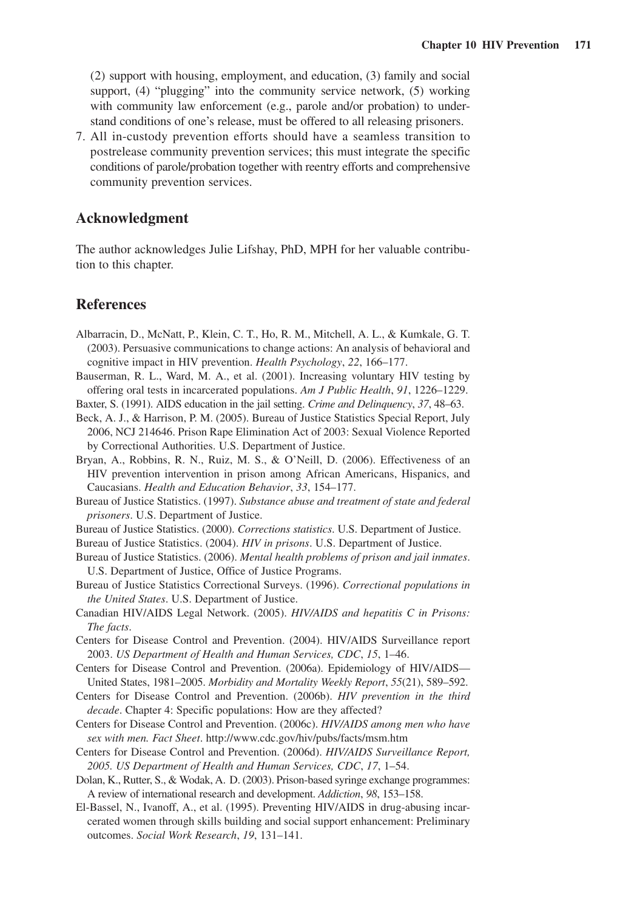(2) support with housing, employment, and education, (3) family and social support, (4) "plugging" into the community service network, (5) working with community law enforcement (e.g., parole and/or probation) to understand conditions of one's release, must be offered to all releasing prisoners.

7. All in-custody prevention efforts should have a seamless transition to postrelease community prevention services; this must integrate the specific conditions of parole/probation together with reentry efforts and comprehensive community prevention services.

# **Acknowledgment**

The author acknowledges Julie Lifshay, PhD, MPH for her valuable contribution to this chapter.

# **References**

- Albarracin, D., McNatt, P., Klein, C. T., Ho, R. M., Mitchell, A. L., & Kumkale, G. T. (2003). Persuasive communications to change actions: An analysis of behavioral and cognitive impact in HIV prevention. *Health Psychology*, *22*, 166–177.
- Bauserman, R. L., Ward, M. A., et al. (2001). Increasing voluntary HIV testing by offering oral tests in incarcerated populations. *Am J Public Health*, *91*, 1226–1229.
- Baxter, S. (1991). AIDS education in the jail setting. *Crime and Delinquency*, *37*, 48–63.
- Beck, A. J., & Harrison, P. M. (2005). Bureau of Justice Statistics Special Report, July 2006, NCJ 214646. Prison Rape Elimination Act of 2003: Sexual Violence Reported by Correctional Authorities. U.S. Department of Justice.
- Bryan, A., Robbins, R. N., Ruiz, M. S., & O'Neill, D. (2006). Effectiveness of an HIV prevention intervention in prison among African Americans, Hispanics, and Caucasians. *Health and Education Behavior*, *33*, 154–177.
- Bureau of Justice Statistics. (1997). *Substance abuse and treatment of state and federal prisoners*. U.S. Department of Justice.
- Bureau of Justice Statistics. (2000). *Corrections statistics*. U.S. Department of Justice.
- Bureau of Justice Statistics. (2004). *HIV in prisons*. U.S. Department of Justice.
- Bureau of Justice Statistics. (2006). *Mental health problems of prison and jail inmates*. U.S. Department of Justice, Office of Justice Programs.
- Bureau of Justice Statistics Correctional Surveys. (1996). *Correctional populations in the United States*. U.S. Department of Justice.
- Canadian HIV/AIDS Legal Network. (2005). *HIV/AIDS and hepatitis C in Prisons: The facts*.
- Centers for Disease Control and Prevention. (2004). HIV/AIDS Surveillance report 2003. *US Department of Health and Human Services, CDC*, *15*, 1–46.
- Centers for Disease Control and Prevention. (2006a). Epidemiology of HIV/AIDS— United States, 1981–2005. *Morbidity and Mortality Weekly Report*, *55*(21), 589–592.
- Centers for Disease Control and Prevention. (2006b). *HIV prevention in the third decade*. Chapter 4: Specific populations: How are they affected?
- Centers for Disease Control and Prevention. (2006c). *HIV/AIDS among men who have sex with men. Fact Sheet*. http://www.cdc.gov/hiv/pubs/facts/msm.htm
- Centers for Disease Control and Prevention. (2006d). *HIV/AIDS Surveillance Report, 2005. US Department of Health and Human Services, CDC*, *17*, 1–54.
- Dolan, K., Rutter, S., & Wodak, A. D. (2003). Prison-based syringe exchange programmes: A review of international research and development. *Addiction*, *98*, 153–158.
- El-Bassel, N., Ivanoff, A., et al. (1995). Preventing HIV/AIDS in drug-abusing incarcerated women through skills building and social support enhancement: Preliminary outcomes. *Social Work Research*, *19*, 131–141.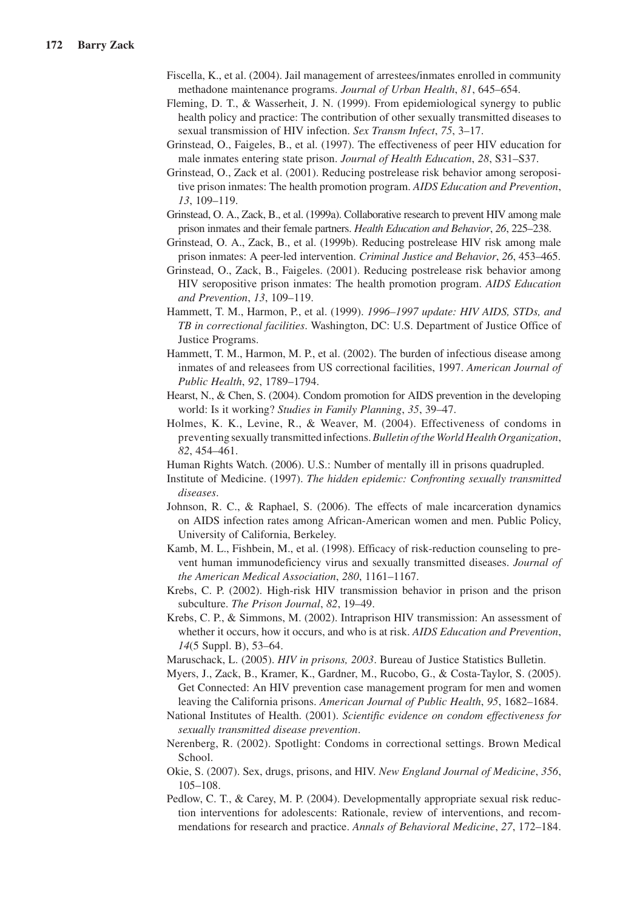- Fiscella, K., et al. (2004). Jail management of arrestees/inmates enrolled in community methadone maintenance programs. *Journal of Urban Health*, *81*, 645–654.
- Fleming, D. T., & Wasserheit, J. N. (1999). From epidemiological synergy to public health policy and practice: The contribution of other sexually transmitted diseases to sexual transmission of HIV infection. *Sex Transm Infect*, *75*, 3–17.
- Grinstead, O., Faigeles, B., et al. (1997). The effectiveness of peer HIV education for male inmates entering state prison. *Journal of Health Education*, *28*, S31–S37.
- Grinstead, O., Zack et al. (2001). Reducing postrelease risk behavior among seropositive prison inmates: The health promotion program. *AIDS Education and Prevention*, *13*, 109–119.
- Grinstead, O. A., Zack, B., et al. (1999a). Collaborative research to prevent HIV among male prison inmates and their female partners. *Health Education and Behavior*, *26*, 225–238.
- Grinstead, O. A., Zack, B., et al. (1999b). Reducing postrelease HIV risk among male prison inmates: A peer-led intervention. *Criminal Justice and Behavior*, *26*, 453–465.
- Grinstead, O., Zack, B., Faigeles. (2001). Reducing postrelease risk behavior among HIV seropositive prison inmates: The health promotion program. *AIDS Education and Prevention*, *13*, 109–119.
- Hammett, T. M., Harmon, P., et al. (1999). *1996–1997 update: HIV AIDS, STDs, and TB in correctional facilities*. Washington, DC: U.S. Department of Justice Office of Justice Programs.
- Hammett, T. M., Harmon, M. P., et al. (2002). The burden of infectious disease among inmates of and releasees from US correctional facilities, 1997. *American Journal of Public Health*, *92*, 1789–1794.
- Hearst, N., & Chen, S. (2004). Condom promotion for AIDS prevention in the developing world: Is it working? *Studies in Family Planning*, *35*, 39–47.
- Holmes, K. K., Levine, R., & Weaver, M. (2004). Effectiveness of condoms in preventing sexually transmitted infections. *Bulletin of the World Health Organization*, *82*, 454–461.
- Human Rights Watch. (2006). U.S.: Number of mentally ill in prisons quadrupled.
- Institute of Medicine. (1997). *The hidden epidemic: Confronting sexually transmitted diseases*.
- Johnson, R. C., & Raphael, S. (2006). The effects of male incarceration dynamics on AIDS infection rates among African-American women and men. Public Policy, University of California, Berkeley.
- Kamb, M. L., Fishbein, M., et al. (1998). Efficacy of risk-reduction counseling to prevent human immunodeficiency virus and sexually transmitted diseases. *Journal of the American Medical Association*, *280*, 1161–1167.
- Krebs, C. P. (2002). High-risk HIV transmission behavior in prison and the prison subculture. *The Prison Journal*, *82*, 19–49.
- Krebs, C. P., & Simmons, M. (2002). Intraprison HIV transmission: An assessment of whether it occurs, how it occurs, and who is at risk. *AIDS Education and Prevention*, *14*(5 Suppl. B), 53–64.
- Maruschack, L. (2005). *HIV in prisons, 2003*. Bureau of Justice Statistics Bulletin.
- Myers, J., Zack, B., Kramer, K., Gardner, M., Rucobo, G., & Costa-Taylor, S. (2005). Get Connected: An HIV prevention case management program for men and women leaving the California prisons. *American Journal of Public Health*, *95*, 1682–1684.
- National Institutes of Health. (2001). *Scientific evidence on condom effectiveness for sexually transmitted disease prevention*.
- Nerenberg, R. (2002). Spotlight: Condoms in correctional settings. Brown Medical School.
- Okie, S. (2007). Sex, drugs, prisons, and HIV. *New England Journal of Medicine*, *356*, 105–108.
- Pedlow, C. T., & Carey, M. P. (2004). Developmentally appropriate sexual risk reduction interventions for adolescents: Rationale, review of interventions, and recommendations for research and practice. *Annals of Behavioral Medicine*, *27*, 172–184.